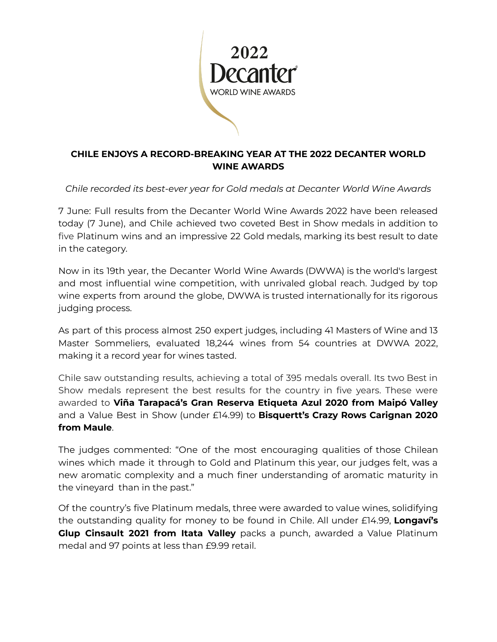

## **CHILE ENJOYS A RECORD-BREAKING YEAR AT THE 2022 DECANTER WORLD WINE AWARDS**

*Chile recorded its best-ever year for Gold medals at Decanter World Wine Awards*

7 June: Full results from the Decanter World Wine Awards 2022 have been released today (7 June), and Chile achieved two coveted Best in Show medals in addition to five Platinum wins and an impressive 22 Gold medals, marking its best result to date in the category.

Now in its 19th year, the Decanter World Wine Awards (DWWA) is the world's largest and most influential wine competition, with unrivaled global reach. Judged by top wine experts from around the globe, DWWA is trusted internationally for its rigorous judging process.

As part of this process almost 250 expert judges, including 41 Masters of Wine and 13 Master Sommeliers, evaluated 18,244 wines from 54 countries at DWWA 2022, making it a record year for wines tasted.

Chile saw outstanding results, achieving a total of 395 medals overall. Its two Best in Show medals represent the best results for the country in five years. These were awarded to **Viña Tarapacá's Gran Reserva Etiqueta Azul 2020 from Maipó Valley** and a Value Best in Show (under £14.99) to **Bisquertt's Crazy Rows Carignan 2020 from Maule**.

The judges commented: "One of the most encouraging qualities of those Chilean wines which made it through to Gold and Platinum this year, our judges felt, was a new aromatic complexity and a much finer understanding of aromatic maturity in the vineyard than in the past."

Of the country's five Platinum medals, three were awarded to value wines, solidifying the outstanding quality for money to be found in Chile. All under £14.99, **Longaví's Glup Cinsault 2021 from Itata Valley** packs a punch, awarded a Value Platinum medal and 97 points at less than £9.99 retail.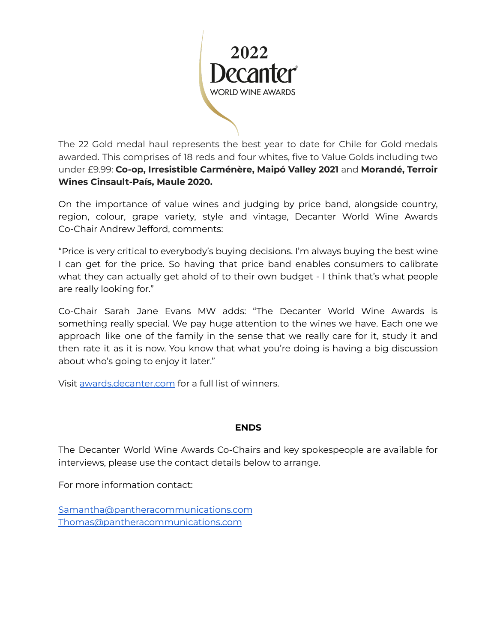

The 22 Gold medal haul represents the best year to date for Chile for Gold medals awarded. This comprises of 18 reds and four whites, five to Value Golds including two under £9.99: **Co-op, Irresistible Carménère, Maipó Valley 2021** and **Morandé, Terroir Wines Cinsault-País, Maule 2020.**

On the importance of value wines and judging by price band, alongside country, region, colour, grape variety, style and vintage, Decanter World Wine Awards Co-Chair Andrew Jefford, comments:

"Price is very critical to everybody's buying decisions. I'm always buying the best wine I can get for the price. So having that price band enables consumers to calibrate what they can actually get ahold of to their own budget - I think that's what people are really looking for."

Co-Chair Sarah Jane Evans MW adds: "The Decanter World Wine Awards is something really special. We pay huge attention to the wines we have. Each one we approach like one of the family in the sense that we really care for it, study it and then rate it as it is now. You know that what you're doing is having a big discussion about who's going to enjoy it later."

Visit [awards.decanter.com](http://awards.decanter.com) for a full list of winners.

### **ENDS**

The Decanter World Wine Awards Co-Chairs and key spokespeople are available for interviews, please use the contact details below to arrange.

For more information contact:

[Samantha@pantheracommunications.com](mailto:Samantha@pantheracommunications.com) [Thomas@pantheracommunications.com](mailto:Thomas@pantheracommunications.com)